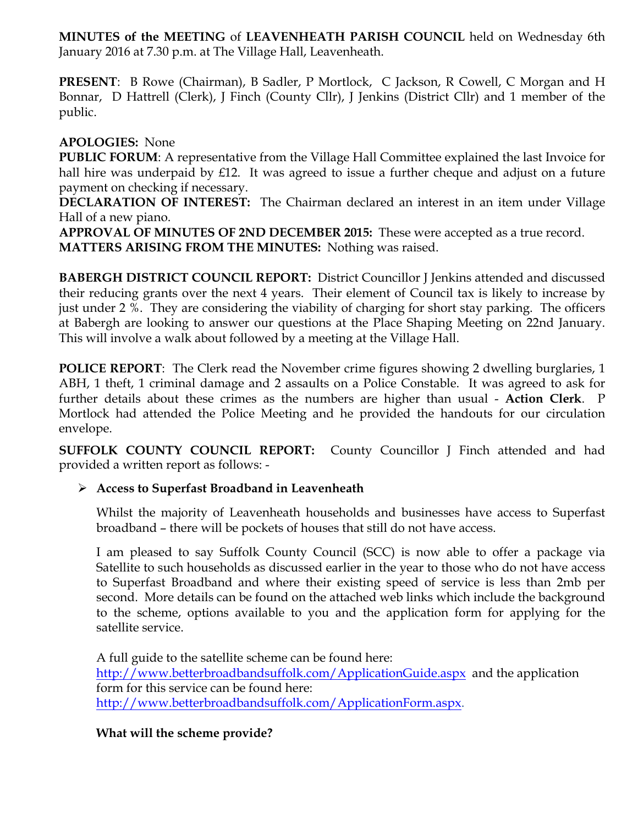**MINUTES of the MEETING** of **LEAVENHEATH PARISH COUNCIL** held on Wednesday 6th January 2016 at 7.30 p.m. at The Village Hall, Leavenheath.

**PRESENT**: B Rowe (Chairman), B Sadler, P Mortlock, C Jackson, R Cowell, C Morgan and H Bonnar, D Hattrell (Clerk), J Finch (County Cllr), J Jenkins (District Cllr) and 1 member of the public.

## **APOLOGIES:** None

**PUBLIC FORUM**: A representative from the Village Hall Committee explained the last Invoice for hall hire was underpaid by £12. It was agreed to issue a further cheque and adjust on a future payment on checking if necessary.

**DECLARATION OF INTEREST:** The Chairman declared an interest in an item under Village Hall of a new piano.

**APPROVAL OF MINUTES OF 2ND DECEMBER 2015:** These were accepted as a true record. **MATTERS ARISING FROM THE MINUTES:** Nothing was raised.

**BABERGH DISTRICT COUNCIL REPORT:** District Councillor J Jenkins attended and discussed their reducing grants over the next 4 years. Their element of Council tax is likely to increase by just under 2 %. They are considering the viability of charging for short stay parking. The officers at Babergh are looking to answer our questions at the Place Shaping Meeting on 22nd January. This will involve a walk about followed by a meeting at the Village Hall.

**POLICE REPORT**: The Clerk read the November crime figures showing 2 dwelling burglaries, 1 ABH, 1 theft, 1 criminal damage and 2 assaults on a Police Constable. It was agreed to ask for further details about these crimes as the numbers are higher than usual - **Action Clerk**. P Mortlock had attended the Police Meeting and he provided the handouts for our circulation envelope.

**SUFFOLK COUNTY COUNCIL REPORT:** County Councillor J Finch attended and had provided a written report as follows: -

# Ø **Access to Superfast Broadband in Leavenheath**

Whilst the majority of Leavenheath households and businesses have access to Superfast broadband – there will be pockets of houses that still do not have access.

I am pleased to say Suffolk County Council (SCC) is now able to offer a package via Satellite to such households as discussed earlier in the year to those who do not have access to Superfast Broadband and where their existing speed of service is less than 2mb per second. More details can be found on the attached web links which include the background to the scheme, options available to you and the application form for applying for the satellite service.

A full guide to the satellite scheme can be found here: http://www.betterbroadbandsuffolk.com/ApplicationGuide.aspx and the application form for this service can be found here: http://www.betterbroadbandsuffolk.com/ApplicationForm.aspx.

# **What will the scheme provide?**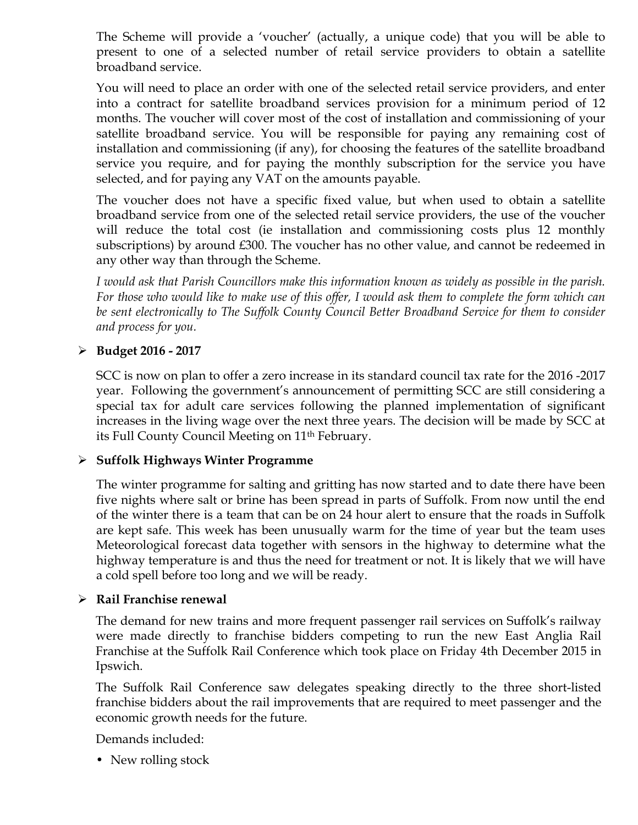The Scheme will provide a 'voucher' (actually, a unique code) that you will be able to present to one of a selected number of retail service providers to obtain a satellite broadband service.

You will need to place an order with one of the selected retail service providers, and enter into a contract for satellite broadband services provision for a minimum period of 12 months. The voucher will cover most of the cost of installation and commissioning of your satellite broadband service. You will be responsible for paying any remaining cost of installation and commissioning (if any), for choosing the features of the satellite broadband service you require, and for paying the monthly subscription for the service you have selected, and for paying any VAT on the amounts payable.

The voucher does not have a specific fixed value, but when used to obtain a satellite broadband service from one of the selected retail service providers, the use of the voucher will reduce the total cost (ie installation and commissioning costs plus 12 monthly subscriptions) by around £300. The voucher has no other value, and cannot be redeemed in any other way than through the Scheme.

*I would ask that Parish Councillors make this information known as widely as possible in the parish. For those who would like to make use of this offer, I would ask them to complete the form which can be sent electronically to The Suffolk County Council Better Broadband Service for them to consider and process for you.* 

### Ø **Budget 2016 - 2017**

SCC is now on plan to offer a zero increase in its standard council tax rate for the 2016 -2017 year. Following the government's announcement of permitting SCC are still considering a special tax for adult care services following the planned implementation of significant increases in the living wage over the next three years. The decision will be made by SCC at its Full County Council Meeting on 11<sup>th</sup> February.

### Ø **Suffolk Highways Winter Programme**

The winter programme for salting and gritting has now started and to date there have been five nights where salt or brine has been spread in parts of Suffolk. From now until the end of the winter there is a team that can be on 24 hour alert to ensure that the roads in Suffolk are kept safe. This week has been unusually warm for the time of year but the team uses Meteorological forecast data together with sensors in the highway to determine what the highway temperature is and thus the need for treatment or not. It is likely that we will have a cold spell before too long and we will be ready.

#### Ø **Rail Franchise renewal**

The demand for new trains and more frequent passenger rail services on Suffolk's railway were made directly to franchise bidders competing to run the new East Anglia Rail Franchise at the Suffolk Rail Conference which took place on Friday 4th December 2015 in Ipswich.

The Suffolk Rail Conference saw delegates speaking directly to the three short-listed franchise bidders about the rail improvements that are required to meet passenger and the economic growth needs for the future.

Demands included:

• New rolling stock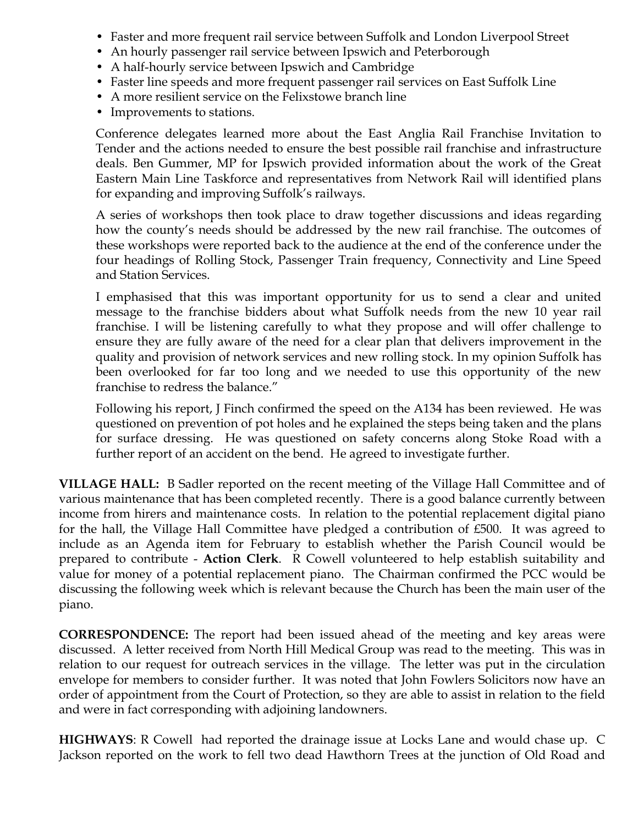- Faster and more frequent rail service between Suffolk and London Liverpool Street
- An hourly passenger rail service between Ipswich and Peterborough
- A half-hourly service between Ipswich and Cambridge
- Faster line speeds and more frequent passenger rail services on East Suffolk Line
- A more resilient service on the Felixstowe branch line
- Improvements to stations.

Conference delegates learned more about the East Anglia Rail Franchise Invitation to Tender and the actions needed to ensure the best possible rail franchise and infrastructure deals. Ben Gummer, MP for Ipswich provided information about the work of the Great Eastern Main Line Taskforce and representatives from Network Rail will identified plans for expanding and improving Suffolk's railways.

A series of workshops then took place to draw together discussions and ideas regarding how the county's needs should be addressed by the new rail franchise. The outcomes of these workshops were reported back to the audience at the end of the conference under the four headings of Rolling Stock, Passenger Train frequency, Connectivity and Line Speed and Station Services.

I emphasised that this was important opportunity for us to send a clear and united message to the franchise bidders about what Suffolk needs from the new 10 year rail franchise. I will be listening carefully to what they propose and will offer challenge to ensure they are fully aware of the need for a clear plan that delivers improvement in the quality and provision of network services and new rolling stock. In my opinion Suffolk has been overlooked for far too long and we needed to use this opportunity of the new franchise to redress the balance."

Following his report, J Finch confirmed the speed on the A134 has been reviewed. He was questioned on prevention of pot holes and he explained the steps being taken and the plans for surface dressing. He was questioned on safety concerns along Stoke Road with a further report of an accident on the bend. He agreed to investigate further.

**VILLAGE HALL:** B Sadler reported on the recent meeting of the Village Hall Committee and of various maintenance that has been completed recently. There is a good balance currently between income from hirers and maintenance costs. In relation to the potential replacement digital piano for the hall, the Village Hall Committee have pledged a contribution of £500. It was agreed to include as an Agenda item for February to establish whether the Parish Council would be prepared to contribute - **Action Clerk**. R Cowell volunteered to help establish suitability and value for money of a potential replacement piano. The Chairman confirmed the PCC would be discussing the following week which is relevant because the Church has been the main user of the piano.

**CORRESPONDENCE:** The report had been issued ahead of the meeting and key areas were discussed. A letter received from North Hill Medical Group was read to the meeting. This was in relation to our request for outreach services in the village. The letter was put in the circulation envelope for members to consider further. It was noted that John Fowlers Solicitors now have an order of appointment from the Court of Protection, so they are able to assist in relation to the field and were in fact corresponding with adjoining landowners.

**HIGHWAYS**: R Cowell had reported the drainage issue at Locks Lane and would chase up. C Jackson reported on the work to fell two dead Hawthorn Trees at the junction of Old Road and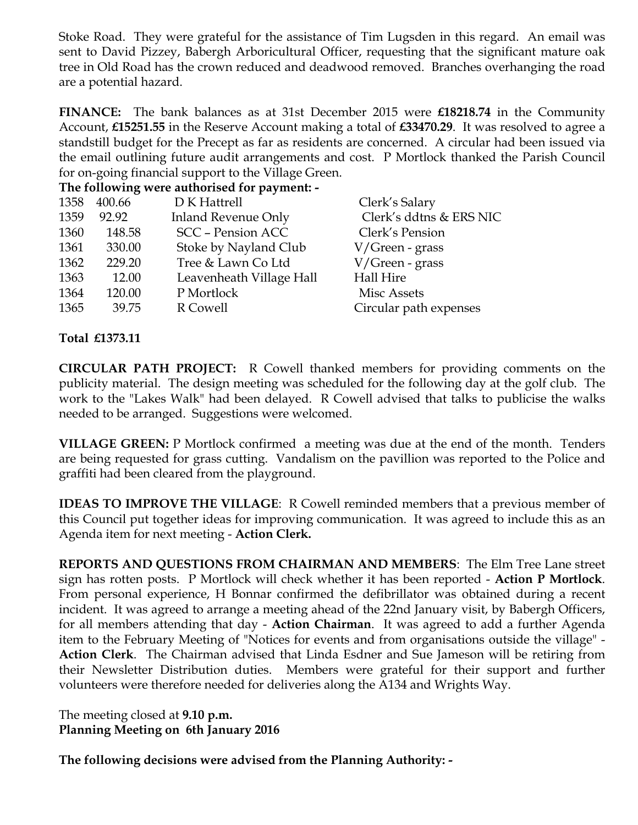Stoke Road. They were grateful for the assistance of Tim Lugsden in this regard. An email was sent to David Pizzey, Babergh Arboricultural Officer, requesting that the significant mature oak tree in Old Road has the crown reduced and deadwood removed. Branches overhanging the road are a potential hazard.

**FINANCE:** The bank balances as at 31st December 2015 were **£18218.74** in the Community Account, **£15251.55** in the Reserve Account making a total of **£33470.29**. It was resolved to agree a standstill budget for the Precept as far as residents are concerned. A circular had been issued via the email outlining future audit arrangements and cost. P Mortlock thanked the Parish Council for on-going financial support to the Village Green.

**The following were authorised for payment: -**

| 1358 | 400.66 | D K Hattrell               | Clerk's Salary          |
|------|--------|----------------------------|-------------------------|
| 1359 | 92.92  | <b>Inland Revenue Only</b> | Clerk's ddtns & ERS NIC |
| 1360 | 148.58 | <b>SCC - Pension ACC</b>   | Clerk's Pension         |
| 1361 | 330.00 | Stoke by Nayland Club      | V/Green - grass         |
| 1362 | 229.20 | Tree & Lawn Co Ltd         | V/Green - grass         |
| 1363 | 12.00  | Leavenheath Village Hall   | Hall Hire               |
| 1364 | 120.00 | P Mortlock                 | Misc Assets             |
| 1365 | 39.75  | R Cowell                   | Circular path expenses  |
|      |        |                            |                         |

**Total £1373.11**

**CIRCULAR PATH PROJECT:** R Cowell thanked members for providing comments on the publicity material. The design meeting was scheduled for the following day at the golf club. The work to the "Lakes Walk" had been delayed. R Cowell advised that talks to publicise the walks needed to be arranged. Suggestions were welcomed.

**VILLAGE GREEN:** P Mortlock confirmed a meeting was due at the end of the month. Tenders are being requested for grass cutting. Vandalism on the pavillion was reported to the Police and graffiti had been cleared from the playground.

**IDEAS TO IMPROVE THE VILLAGE**: R Cowell reminded members that a previous member of this Council put together ideas for improving communication. It was agreed to include this as an Agenda item for next meeting - **Action Clerk.** 

**REPORTS AND QUESTIONS FROM CHAIRMAN AND MEMBERS**: The Elm Tree Lane street sign has rotten posts. P Mortlock will check whether it has been reported - **Action P Mortlock**. From personal experience, H Bonnar confirmed the defibrillator was obtained during a recent incident. It was agreed to arrange a meeting ahead of the 22nd January visit, by Babergh Officers, for all members attending that day - **Action Chairman**. It was agreed to add a further Agenda item to the February Meeting of "Notices for events and from organisations outside the village" - **Action Clerk**. The Chairman advised that Linda Esdner and Sue Jameson will be retiring from their Newsletter Distribution duties. Members were grateful for their support and further volunteers were therefore needed for deliveries along the A134 and Wrights Way.

The meeting closed at **9.10 p.m. Planning Meeting on 6th January 2016**

**The following decisions were advised from the Planning Authority: -**